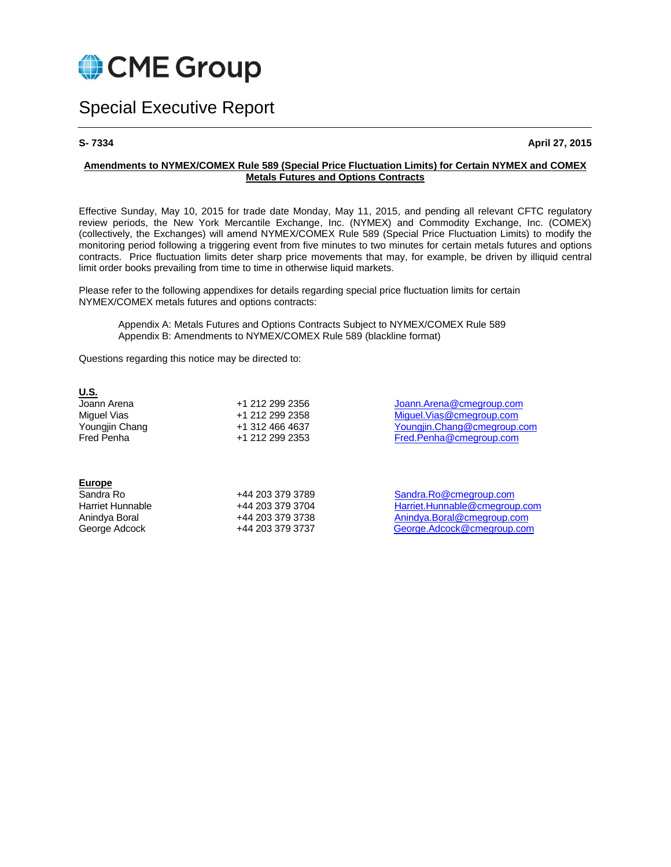

# Special Executive Report

**S- 7334 April 27, 2015**

### **Amendments to NYMEX/COMEX Rule 589 (Special Price Fluctuation Limits) for Certain NYMEX and COMEX Metals Futures and Options Contracts**

Effective Sunday, May 10, 2015 for trade date Monday, May 11, 2015, and pending all relevant CFTC regulatory review periods, the New York Mercantile Exchange, Inc. (NYMEX) and Commodity Exchange, Inc. (COMEX) (collectively, the Exchanges) will amend NYMEX/COMEX Rule 589 (Special Price Fluctuation Limits) to modify the monitoring period following a triggering event from five minutes to two minutes for certain metals futures and options contracts. Price fluctuation limits deter sharp price movements that may, for example, be driven by illiquid central limit order books prevailing from time to time in otherwise liquid markets.

Please refer to the following appendixes for details regarding special price fluctuation limits for certain NYMEX/COMEX metals futures and options contracts:

Appendix A: Metals Futures and Options Contracts Subject to NYMEX/COMEX Rule 589 Appendix B: Amendments to NYMEX/COMEX Rule 589 (blackline format)

Questions regarding this notice may be directed to:

| <u>U.S.</u>       |                 |
|-------------------|-----------------|
| Joann Arena       | +1 212 299 2356 |
| Miquel Vias       | +1 212 299 2358 |
| Youngjin Chang    | +1 312 466 4637 |
| <b>Fred Penha</b> | +1 212 299 2353 |
|                   |                 |

[Joann.Arena@cmegroup.com](mailto:Joann.Arena@cmegroup.com) Miguel Vias @cmegroup.com [Youngjin.Chang@cmegroup.com](mailto:Youngjin.Chang@cmegroup.com) Fred Penha@cmegroup.com

#### **Europe**

| Sandra Ro        |  |
|------------------|--|
| Harriet Hunnable |  |
| Anindya Boral    |  |
| George Adcock    |  |

Sandra Ro +44 203 379 3789 [Sandra.Ro@cmegroup.com](mailto:Sandra.Ro@cmegroup.com) Harriet Hunnable +44 203 379 3704 [Harriet.Hunnable@cmegroup.com](mailto:Harriet.Hunnable@cmegroup.com) Anindya Boral +44 203 379 3738 [Anindya.Boral@cmegroup.com](mailto:Anindya.Boral@cmegroup.com) +44 203 379 3737 [George.Adcock@cmegroup.com](mailto:George.Adcock@cmegroup.com)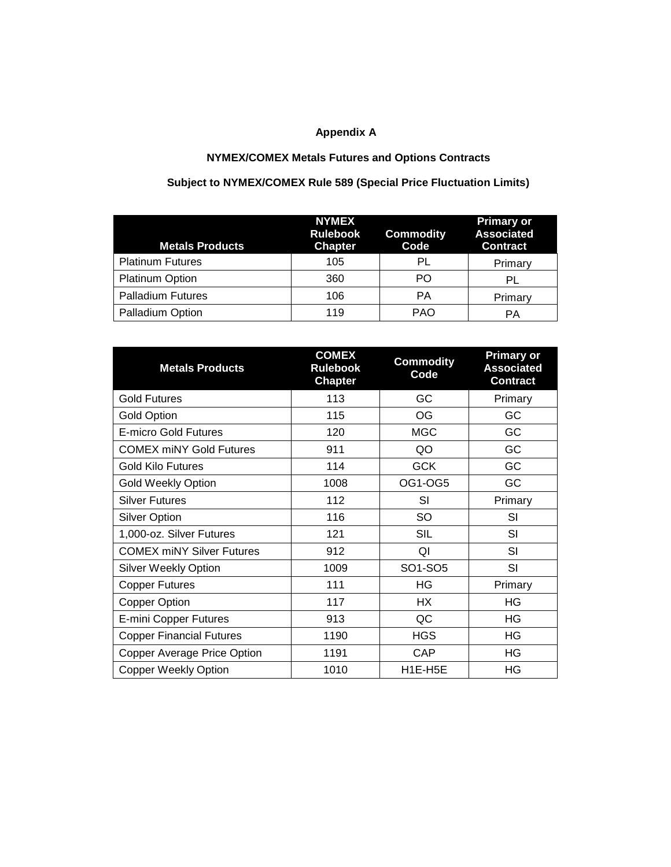# **Appendix A**

# **NYMEX/COMEX Metals Futures and Options Contracts**

# **Subject to NYMEX/COMEX Rule 589 (Special Price Fluctuation Limits)**

| <b>Metals Products</b>   | <b>NYMEX</b><br><b>Rulebook</b><br><b>Chapter</b> | <b>Commodity</b><br>Code | <b>Primary or</b><br><b>Associated</b><br><b>Contract</b> |
|--------------------------|---------------------------------------------------|--------------------------|-----------------------------------------------------------|
| <b>Platinum Futures</b>  | 105                                               | PL                       | Primary                                                   |
| Platinum Option          | 360                                               | PO.                      | PL                                                        |
| <b>Palladium Futures</b> | 106                                               | PА                       | Primary                                                   |
| Palladium Option         | 119                                               | <b>PAO</b>               | PА                                                        |

| <b>Metals Products</b>           | <b>COMEX</b><br><b>Rulebook</b><br><b>Chapter</b> | <b>Commodity</b><br>Code | <b>Primary or</b><br><b>Associated</b><br><b>Contract</b> |
|----------------------------------|---------------------------------------------------|--------------------------|-----------------------------------------------------------|
| <b>Gold Futures</b>              | 113                                               | GC                       | Primary                                                   |
| <b>Gold Option</b>               | 115                                               | OG                       | GC                                                        |
| <b>E-micro Gold Futures</b>      | 120                                               | <b>MGC</b>               | GC                                                        |
| <b>COMEX miNY Gold Futures</b>   | 911                                               | QO                       | GC                                                        |
| <b>Gold Kilo Futures</b>         | 114                                               | <b>GCK</b>               | GC                                                        |
| <b>Gold Weekly Option</b>        | 1008                                              | OG1-OG5                  | GC                                                        |
| Silver Futures                   | 112                                               | SI                       | Primary                                                   |
| <b>Silver Option</b>             | 116                                               | SO                       | SI                                                        |
| 1,000-oz. Silver Futures         | 121                                               | <b>SIL</b>               | SI                                                        |
| <b>COMEX miNY Silver Futures</b> | 912                                               | QI                       | SI                                                        |
| <b>Silver Weekly Option</b>      | 1009                                              | SO1-SO5                  | SI                                                        |
| <b>Copper Futures</b>            | 111                                               | ΗG                       | Primary                                                   |
| <b>Copper Option</b>             | 117                                               | HX                       | ΗG                                                        |
| <b>E-mini Copper Futures</b>     | 913                                               | QC                       | HG                                                        |
| <b>Copper Financial Futures</b>  | 1190                                              | <b>HGS</b>               | ΗG                                                        |
| Copper Average Price Option      | 1191                                              | <b>CAP</b>               | ΗG                                                        |
| <b>Copper Weekly Option</b>      | 1010                                              | H1E-H5E                  | HG                                                        |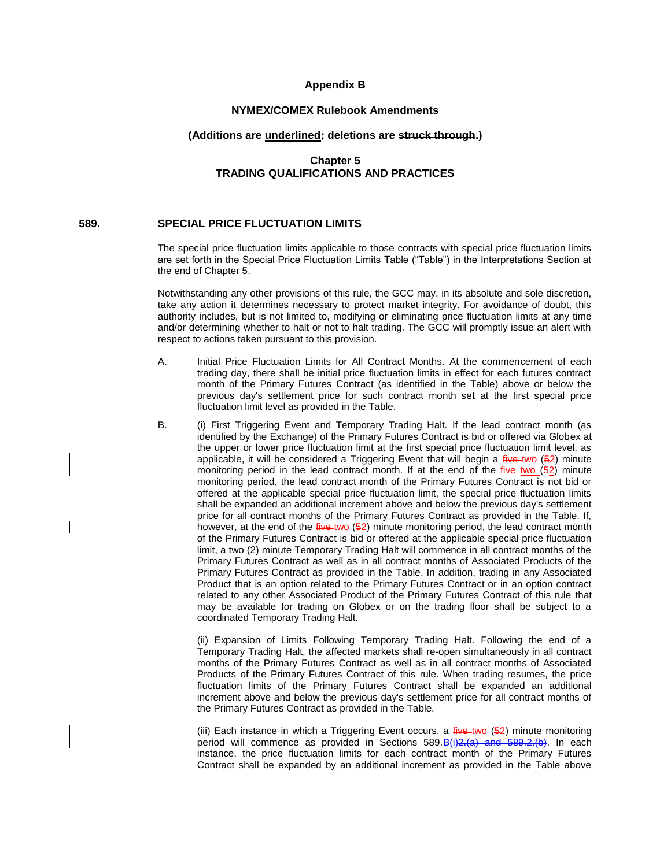#### **Appendix B**

# **NYMEX/COMEX Rulebook Amendments**

#### **(Additions are underlined; deletions are struck through.)**

# **Chapter 5 TRADING QUALIFICATIONS AND PRACTICES**

# **589. SPECIAL PRICE FLUCTUATION LIMITS**

The special price fluctuation limits applicable to those contracts with special price fluctuation limits are set forth in the Special Price Fluctuation Limits Table ("Table") in the Interpretations Section at the end of Chapter 5.

Notwithstanding any other provisions of this rule, the GCC may, in its absolute and sole discretion, take any action it determines necessary to protect market integrity. For avoidance of doubt, this authority includes, but is not limited to, modifying or eliminating price fluctuation limits at any time and/or determining whether to halt or not to halt trading. The GCC will promptly issue an alert with respect to actions taken pursuant to this provision.

- A. Initial Price Fluctuation Limits for All Contract Months. At the commencement of each trading day, there shall be initial price fluctuation limits in effect for each futures contract month of the Primary Futures Contract (as identified in the Table) above or below the previous day's settlement price for such contract month set at the first special price fluctuation limit level as provided in the Table.
- B. (i) First Triggering Event and Temporary Trading Halt. If the lead contract month (as identified by the Exchange) of the Primary Futures Contract is bid or offered via Globex at the upper or lower price fluctuation limit at the first special price fluctuation limit level, as applicable, it will be considered a Triggering Event that will begin a  $f$ <sub>i</sub> we two (52) minute monitoring period in the lead contract month. If at the end of the  $f$ ive two  $(52)$  minute monitoring period, the lead contract month of the Primary Futures Contract is not bid or offered at the applicable special price fluctuation limit, the special price fluctuation limits shall be expanded an additional increment above and below the previous day's settlement price for all contract months of the Primary Futures Contract as provided in the Table. If, however, at the end of the  $f$ ive-two (52) minute monitoring period, the lead contract month of the Primary Futures Contract is bid or offered at the applicable special price fluctuation limit, a two (2) minute Temporary Trading Halt will commence in all contract months of the Primary Futures Contract as well as in all contract months of Associated Products of the Primary Futures Contract as provided in the Table. In addition, trading in any Associated Product that is an option related to the Primary Futures Contract or in an option contract related to any other Associated Product of the Primary Futures Contract of this rule that may be available for trading on Globex or on the trading floor shall be subject to a coordinated Temporary Trading Halt.

(ii) Expansion of Limits Following Temporary Trading Halt. Following the end of a Temporary Trading Halt, the affected markets shall re-open simultaneously in all contract months of the Primary Futures Contract as well as in all contract months of Associated Products of the Primary Futures Contract of this rule. When trading resumes, the price fluctuation limits of the Primary Futures Contract shall be expanded an additional increment above and below the previous day's settlement price for all contract months of the Primary Futures Contract as provided in the Table.

(iii) Each instance in which a Triggering Event occurs, a  $f^2$  = two (52) minute monitoring period will commence as provided in Sections  $589.B(i)<sup>2</sup>, (a)$  and  $589.2.(b)$ . In each instance, the price fluctuation limits for each contract month of the Primary Futures Contract shall be expanded by an additional increment as provided in the Table above